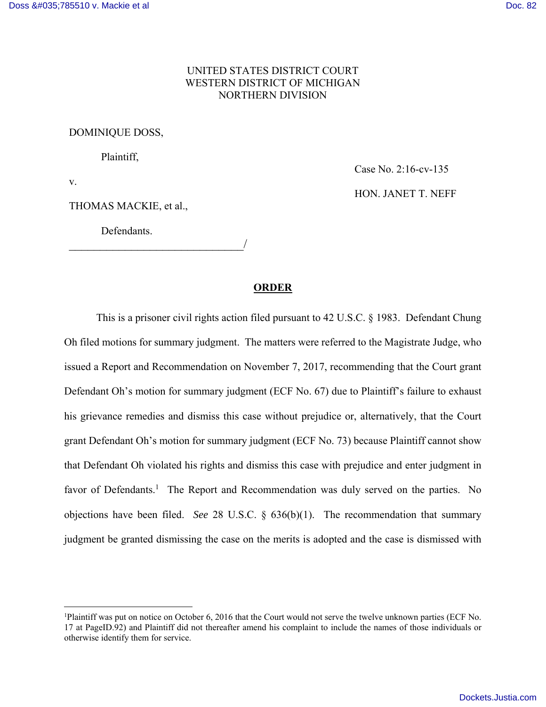## UNITED STATES DISTRICT COURT WESTERN DISTRICT OF MICHIGAN NORTHERN DIVISION

## DOMINIQUE DOSS,

Plaintiff,

v.

 $\overline{a}$ 

THOMAS MACKIE, et al.,

Defendants.

\_\_\_\_\_\_\_\_\_\_\_\_\_\_\_\_\_\_\_\_\_\_\_\_\_\_\_\_/

Case No. 2:16-cv-135 HON. JANET T. NEFF

## **ORDER**

This is a prisoner civil rights action filed pursuant to 42 U.S.C. § 1983. Defendant Chung Oh filed motions for summary judgment. The matters were referred to the Magistrate Judge, who issued a Report and Recommendation on November 7, 2017, recommending that the Court grant Defendant Oh's motion for summary judgment (ECF No. 67) due to Plaintiff's failure to exhaust his grievance remedies and dismiss this case without prejudice or, alternatively, that the Court grant Defendant Oh's motion for summary judgment (ECF No. 73) because Plaintiff cannot show that Defendant Oh violated his rights and dismiss this case with prejudice and enter judgment in favor of Defendants.<sup>1</sup> The Report and Recommendation was duly served on the parties. No objections have been filed. *See* 28 U.S.C. § 636(b)(1). The recommendation that summary judgment be granted dismissing the case on the merits is adopted and the case is dismissed with

<sup>1</sup>Plaintiff was put on notice on October 6, 2016 that the Court would not serve the twelve unknown parties (ECF No. 17 at PageID.92) and Plaintiff did not thereafter amend his complaint to include the names of those individuals or otherwise identify them for service.